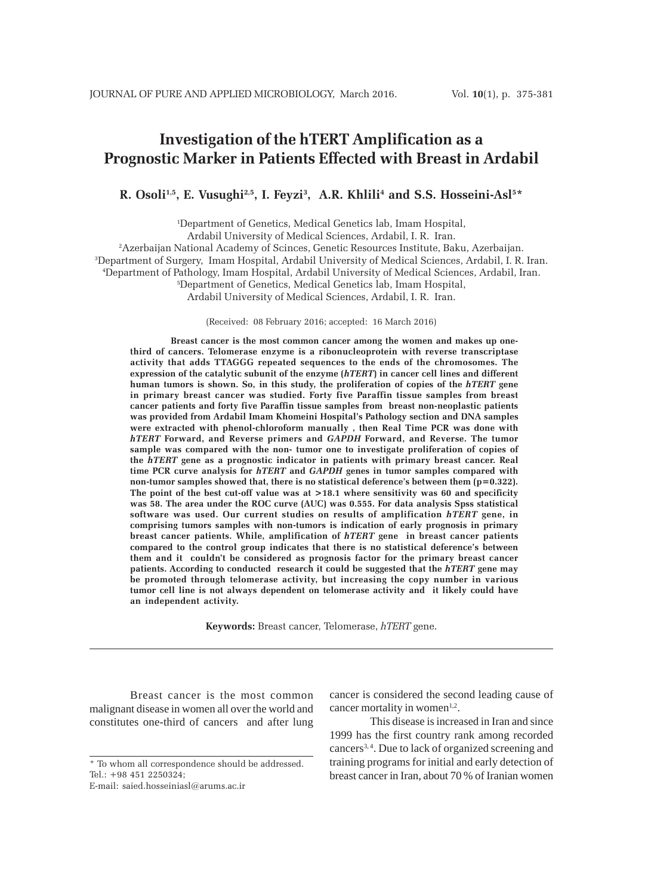# **Investigation of the hTERT Amplification as a Prognostic Marker in Patients Effected with Breast in Ardabil**

**R.** Osoli<sup>1,5</sup>, E. Vusughi<sup>2,5</sup>, I. Feyzi<sup>3</sup>, A.R. Khlili<sup>4</sup> and S.S. Hosseini-Asl<sup>5\*</sup>

1 Department of Genetics, Medical Genetics lab, Imam Hospital,

Ardabil University of Medical Sciences, Ardabil, I. R. Iran.

2 Azerbaijan National Academy of Scinces, Genetic Resources Institute, Baku, Azerbaijan. 3 Department of Surgery, Imam Hospital, Ardabil University of Medical Sciences, Ardabil, I. R. Iran. 4 Department of Pathology, Imam Hospital, Ardabil University of Medical Sciences, Ardabil, Iran.

5 Department of Genetics, Medical Genetics lab, Imam Hospital,

Ardabil University of Medical Sciences, Ardabil, I. R. Iran.

(Received: 08 February 2016; accepted: 16 March 2016)

**Breast cancer is the most common cancer among the women and makes up onethird of cancers. Telomerase enzyme is a ribonucleoprotein with reverse transcriptase activity that adds TTAGGG repeated sequences to the ends of the chromosomes. The expression of the catalytic subunit of the enzyme (***hTERT***) in cancer cell lines and different human tumors is shown. So, in this study, the proliferation of copies of the** *hTERT* **gene in primary breast cancer was studied. Forty five Paraffin tissue samples from breast cancer patients and forty five Paraffin tissue samples from breast non-neoplastic patients was provided from Ardabil Imam Khomeini Hospital's Pathology section and DNA samples were extracted with phenol-chloroform manually , then Real Time PCR was done with** *hTERT* **Forward, and Reverse primers and** *GAPDH* **Forward, and Reverse. The tumor sample was compared with the non- tumor one to investigate proliferation of copies of the** *hTERT* **gene as a prognostic indicator in patients with primary breast cancer. Real time PCR curve analysis for** *hTERT* **and** *GAPDH* **genes in tumor samples compared with non-tumor samples showed that, there is no statistical deference's between them (p=0.322). The point of the best cut-off value was at >18.1 where sensitivity was 60 and specificity was 58. The area under the ROC curve (AUC) was 0.555. For data analysis Spss statistical software was used. Our current studies on results of amplification** *hTERT* **gene, in comprising tumors samples with non-tumors is indication of early prognosis in primary breast cancer patients. While, amplification of** *hTERT* **gene in breast cancer patients compared to the control group indicates that there is no statistical deference's between them and it couldn't be considered as prognosis factor for the primary breast cancer patients. According to conducted research it could be suggested that the** *hTERT* **gene may be promoted through telomerase activity, but increasing the copy number in various tumor cell line is not always dependent on telomerase activity and it likely could have an independent activity.**

**Keywords:** Breast cancer, Telomerase, *hTERT* gene.

Breast cancer is the most common malignant disease in women all over the world and constitutes one-third of cancers and after lung

cancer is considered the second leading cause of cancer mortality in women<sup>1,2</sup>.

This disease is increased in Iran and since 1999 has the first country rank among recorded cancers3, 4. Due to lack of organized screening and training programs for initial and early detection of breast cancer in Iran, about 70 % of Iranian women

<sup>\*</sup> To whom all correspondence should be addressed. Tel.: +98 451 2250324;

E-mail: saied.hosseiniasl@arums.ac.ir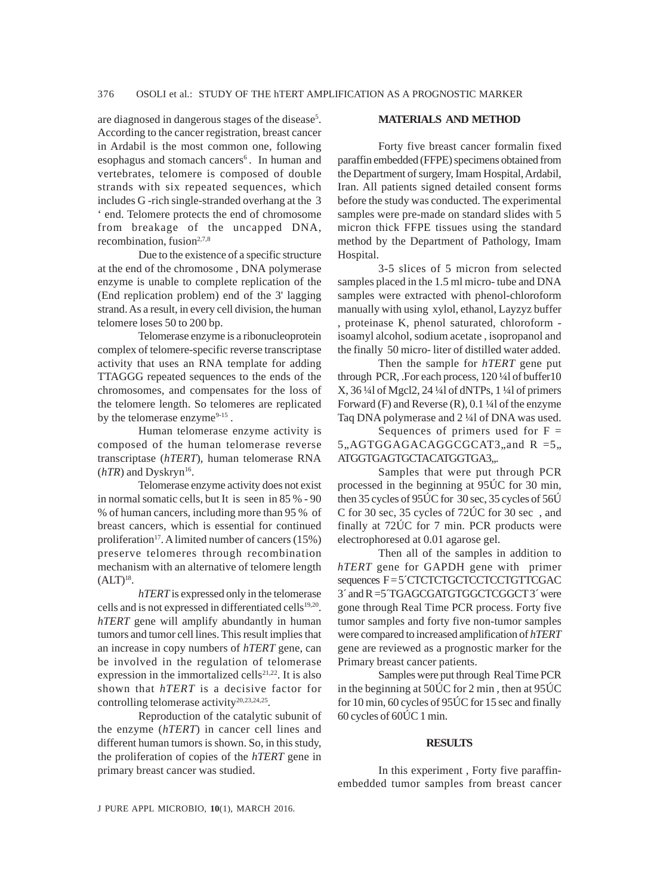are diagnosed in dangerous stages of the disease<sup>5</sup>. According to the cancer registration, breast cancer in Ardabil is the most common one, following esophagus and stomach cancers<sup>6</sup>. In human and vertebrates, telomere is composed of double strands with six repeated sequences, which includes G -rich single-stranded overhang at the 3 ' end. Telomere protects the end of chromosome from breakage of the uncapped DNA, recombination, fusion $2,7,8$ 

Due to the existence of a specific structure at the end of the chromosome , DNA polymerase enzyme is unable to complete replication of the (End replication problem) end of the 3' lagging strand. As a result, in every cell division, the human telomere loses 50 to 200 bp.

Telomerase enzyme is a ribonucleoprotein complex of telomere-specific reverse transcriptase activity that uses an RNA template for adding TTAGGG repeated sequences to the ends of the chromosomes, and compensates for the loss of the telomere length. So telomeres are replicated by the telomerase enzyme $9-15$ .

Human telomerase enzyme activity is composed of the human telomerase reverse transcriptase (*hTERT*), human telomerase RNA  $(hTR)$  and Dyskryn<sup>16</sup>.

Telomerase enzyme activity does not exist in normal somatic cells, but It is seen in 85 % - 90 % of human cancers, including more than 95 % of breast cancers, which is essential for continued proliferation<sup>17</sup>. A limited number of cancers  $(15%)$ preserve telomeres through recombination mechanism with an alternative of telomere length  $(ALT)<sup>18</sup>$ .

*hTERT* is expressed only in the telomerase cells and is not expressed in differentiated cells<sup>19,20</sup>. *hTERT* gene will amplify abundantly in human tumors and tumor cell lines. This result implies that an increase in copy numbers of *hTERT* gene, can be involved in the regulation of telomerase expression in the immortalized cells<sup>21,22</sup>. It is also shown that *hTERT* is a decisive factor for controlling telomerase activity<sup>20,23,24,25</sup>.

Reproduction of the catalytic subunit of the enzyme (*hTERT*) in cancer cell lines and different human tumors is shown. So, in this study, the proliferation of copies of the *hTERT* gene in primary breast cancer was studied.

## **MATERIALS AND METHOD**

Forty five breast cancer formalin fixed paraffin embedded (FFPE) specimens obtained from the Department of surgery, Imam Hospital, Ardabil, Iran. All patients signed detailed consent forms before the study was conducted. The experimental samples were pre-made on standard slides with 5 micron thick FFPE tissues using the standard method by the Department of Pathology, Imam Hospital.

3-5 slices of 5 micron from selected samples placed in the 1.5 ml micro- tube and DNA samples were extracted with phenol-chloroform manually with using xylol, ethanol, Layzyz buffer , proteinase K, phenol saturated, chloroform isoamyl alcohol, sodium acetate , isopropanol and the finally 50 micro- liter of distilled water added.

Then the sample for *hTERT* gene put through PCR, .For each process, 120 ¼l of buffer10 X, 36 ¼l of Mgcl2, 24 ¼l of dNTPs, 1 ¼l of primers Forward (F) and Reverse (R), 0.1 ¼l of the enzyme Taq DNA polymerase and 2 ¼l of DNA was used.

Sequences of primers used for  $F =$  $5, AGTGGAGACAGGCGCAT3,$  and R = 5, ATGGTGAGTGCTACATGGTGA3,..

Samples that were put through PCR processed in the beginning at 95ÚC for 30 min, then 35 cycles of 95ÚC for 30 sec, 35 cycles of 56Ú C for 30 sec, 35 cycles of 72ÚC for 30 sec , and finally at 72ÚC for 7 min. PCR products were electrophoresed at 0.01 agarose gel.

Then all of the samples in addition to *hTERT* gene for GAPDH gene with primer sequences F = 5<sup> $\degree$ CTCTCTGCTCCTCCTGTTCGAC</sup> 3´ and R =5´TGAGCGATGTGGCTCGGCT 3´ were gone through Real Time PCR process. Forty five tumor samples and forty five non-tumor samples were compared to increased amplification of *hTERT* gene are reviewed as a prognostic marker for the Primary breast cancer patients.

Samples were put through Real Time PCR in the beginning at 50ÚC for 2 min , then at 95ÚC for 10 min, 60 cycles of 95ÚC for 15 sec and finally 60 cycles of 60ÚC 1 min.

### **RESULTS**

In this experiment , Forty five paraffinembedded tumor samples from breast cancer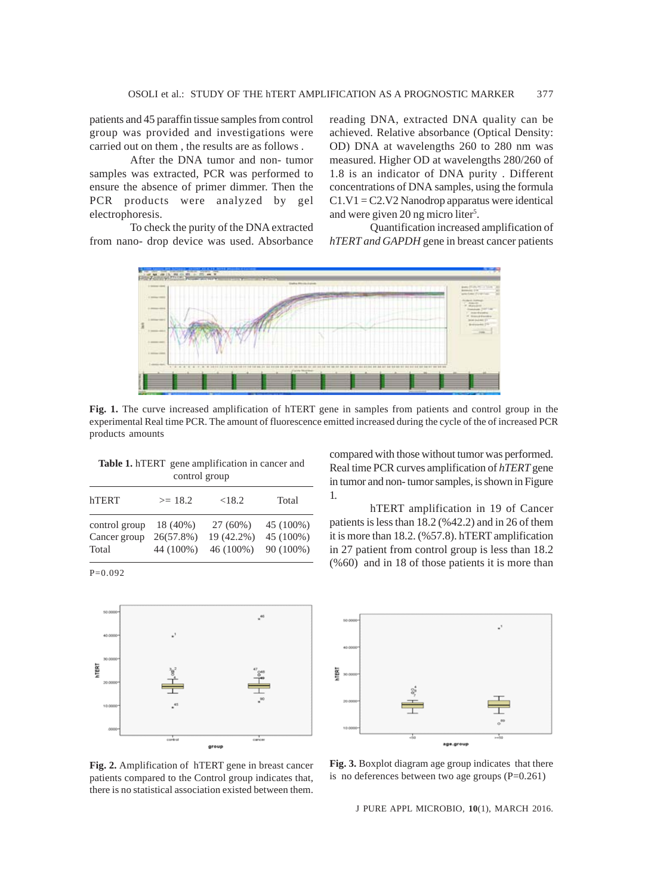patients and 45 paraffin tissue samples from control group was provided and investigations were carried out on them , the results are as follows .

After the DNA tumor and non- tumor samples was extracted, PCR was performed to ensure the absence of primer dimmer. Then the PCR products were analyzed by gel electrophoresis.

To check the purity of the DNA extracted from nano- drop device was used. Absorbance reading DNA, extracted DNA quality can be achieved. Relative absorbance (Optical Density: OD) DNA at wavelengths 260 to 280 nm was measured. Higher OD at wavelengths 280/260 of 1.8 is an indicator of DNA purity . Different concentrations of DNA samples, using the formula  $C1.V1 = C2.V2$  Nanodrop apparatus were identical and were given 20 ng micro liter<sup>5</sup>.

Quantification increased amplification of *hTERT and GAPDH* gene in breast cancer patients



**Fig. 1.** The curve increased amplification of hTERT gene in samples from patients and control group in the experimental Real time PCR. The amount of fluorescence emitted increased during the cycle of the of increased PCR products amounts

| control group                          |                                       |                                       |                                     |  |  |
|----------------------------------------|---------------------------------------|---------------------------------------|-------------------------------------|--|--|
| hTERT                                  | $>= 18.2$                             | < 18.2                                | Total                               |  |  |
| control group<br>Cancer group<br>Total | 18 (40%)<br>$26(57.8\%)$<br>44 (100%) | $27(60\%)$<br>19 (42.2%)<br>46 (100%) | 45 (100%)<br>45 (100%)<br>90 (100%) |  |  |

**Table 1.** hTERT gene amplification in cancer and

P=0.092



compared with those without tumor was performed. Real time PCR curves amplification of *hTERT* gene in tumor and non- tumor samples, is shown in Figure 1.

hTERT amplification in 19 of Cancer patients is less than 18.2 (%42.2) and in 26 of them it is more than 18.2. (%57.8). hTERT amplification in 27 patient from control group is less than 18.2 (%60) and in 18 of those patients it is more than



**Fig. 2.** Amplification of hTERT gene in breast cancer patients compared to the Control group indicates that, there is no statistical association existed between them.

**Fig. 3.** Boxplot diagram age group indicates that there is no deferences between two age groups (P=0.261)

J PURE APPL MICROBIO*,* **10**(1), MARCH 2016.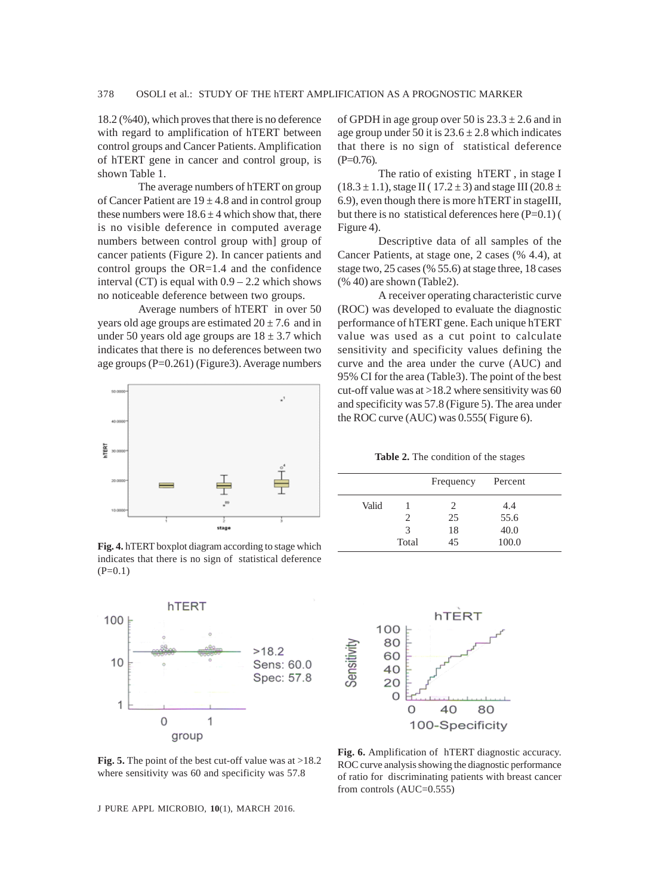18.2 (%40), which proves that there is no deference with regard to amplification of hTERT between control groups and Cancer Patients. Amplification of hTERT gene in cancer and control group, is shown Table 1.

The average numbers of hTERT on group of Cancer Patient are  $19 \pm 4.8$  and in control group these numbers were  $18.6 \pm 4$  which show that, there is no visible deference in computed average numbers between control group with] group of cancer patients (Figure 2). In cancer patients and control groups the OR=1.4 and the confidence interval (CT) is equal with  $0.9 - 2.2$  which shows no noticeable deference between two groups.

Average numbers of hTERT in over 50 years old age groups are estimated  $20 \pm 7.6$  and in under 50 years old age groups are  $18 \pm 3.7$  which indicates that there is no deferences between two age groups (P=0.261) (Figure3). Average numbers



**Fig. 4.** hTERT boxplot diagram according to stage which indicates that there is no sign of statistical deference  $(P=0.1)$ 



**Fig. 5.** The point of the best cut-off value was at >18.2 where sensitivity was 60 and specificity was 57.8

J PURE APPL MICROBIO*,* **10**(1), MARCH 2016.

of GPDH in age group over 50 is  $23.3 \pm 2.6$  and in age group under 50 it is  $23.6 \pm 2.8$  which indicates that there is no sign of statistical deference  $(P=0.76)$ .

The ratio of existing hTERT , in stage I  $(18.3 \pm 1.1)$ , stage II ( $17.2 \pm 3$ ) and stage III ( $20.8 \pm 1.1$ ) 6.9), even though there is more hTERT in stageIII, but there is no statistical deferences here  $(P=0.1)$  ( Figure 4).

Descriptive data of all samples of the Cancer Patients, at stage one, 2 cases (% 4.4), at stage two, 25 cases (% 55.6) at stage three, 18 cases (% 40) are shown (Table2).

A receiver operating characteristic curve (ROC) was developed to evaluate the diagnostic performance of hTERT gene. Each unique hTERT value was used as a cut point to calculate sensitivity and specificity values defining the curve and the area under the curve (AUC) and 95% CI for the area (Table3). The point of the best cut-off value was at  $>18.2$  where sensitivity was 60 and specificity was 57.8 (Figure 5). The area under the ROC curve (AUC) was 0.555( Figure 6).

**Table 2.** The condition of the stages

|       |       | Frequency | Percent |  |
|-------|-------|-----------|---------|--|
| Valid |       | 2         | 4.4     |  |
|       |       | 25        | 55.6    |  |
|       | 3     | 18        | 40.0    |  |
|       | Total | 45        | 100.0   |  |



**Fig. 6.** Amplification of hTERT diagnostic accuracy. ROC curve analysis showing the diagnostic performance of ratio for discriminating patients with breast cancer from controls (AUC=0.555)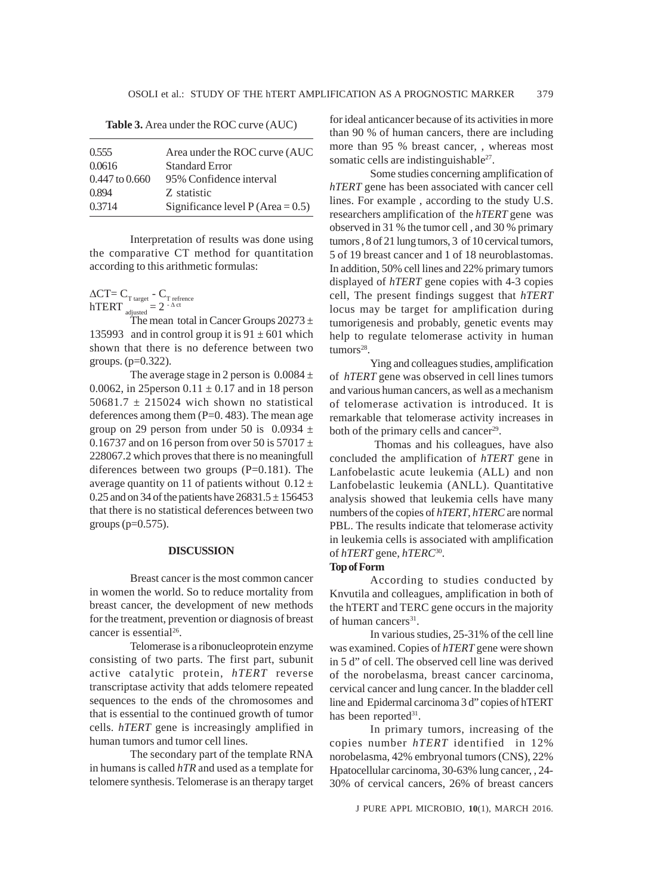**Table 3.** Area under the ROC curve (AUC)

| 0.555              | Area under the ROC curve (AUC       |
|--------------------|-------------------------------------|
| 0.0616             | <b>Standard Error</b>               |
| $0.447$ to $0.660$ | 95% Confidence interval             |
| 0.894              | Z statistic                         |
| 0.3714             | Significance level $P$ (Area = 0.5) |
|                    |                                     |

Interpretation of results was done using the comparative CT method for quantitation according to this arithmetic formulas:

 $\Delta$ CT= C<sub>T target</sub> - C<sub>T refrence</sub>  $h \text{TERT}_{\text{adjusted}} = 2^{-\Delta \text{ ct}}$ 

The mean total in Cancer Groups 20273 ± 135993 and in control group it is  $91 \pm 601$  which shown that there is no deference between two groups. (p=0.322).

The average stage in 2 person is  $0.0084 \pm$ 0.0062, in 25 person  $0.11 \pm 0.17$  and in 18 person 50681.7  $\pm$  215024 wich shown no statistical deferences among them  $(P=0.483)$ . The mean age group on 29 person from under 50 is  $0.0934 \pm$ 0.16737 and on 16 person from over 50 is  $57017 \pm$ 228067.2 which proves that there is no meaningfull diferences between two groups (P=0.181). The average quantity on 11 of patients without  $0.12 \pm$ 0.25 and on 34 of the patients have  $26831.5 \pm 156453$ that there is no statistical deferences between two groups ( $p=0.575$ ).

#### **DISCUSSION**

Breast cancer is the most common cancer in women the world. So to reduce mortality from breast cancer, the development of new methods for the treatment, prevention or diagnosis of breast cancer is essential<sup>26</sup>.

Telomerase is a ribonucleoprotein enzyme consisting of two parts. The first part, subunit active catalytic protein, *hTERT* reverse transcriptase activity that adds telomere repeated sequences to the ends of the chromosomes and that is essential to the continued growth of tumor cells. *hTERT* gene is increasingly amplified in human tumors and tumor cell lines.

The secondary part of the template RNA in humans is called *hTR* and used as a template for telomere synthesis. Telomerase is an therapy target for ideal anticancer because of its activities in more than 90 % of human cancers, there are including more than 95 % breast cancer, , whereas most somatic cells are indistinguishable<sup>27</sup>.

Some studies concerning amplification of *hTERT* gene has been associated with cancer cell lines. For example , according to the study U.S. researchers amplification of the *hTERT* gene was observed in 31 % the tumor cell , and 30 % primary tumors , 8 of 21 lung tumors, 3 of 10 cervical tumors, 5 of 19 breast cancer and 1 of 18 neuroblastomas. In addition, 50% cell lines and 22% primary tumors displayed of *hTERT* gene copies with 4-3 copies cell, The present findings suggest that *hTERT* locus may be target for amplification during tumorigenesis and probably, genetic events may help to regulate telomerase activity in human  $tumors<sup>28</sup>$ .

Ying and colleagues studies, amplification of *hTERT* gene was observed in cell lines tumors and various human cancers, as well as a mechanism of telomerase activation is introduced. It is remarkable that telomerase activity increases in both of the primary cells and cancer<sup>29</sup>.

 Thomas and his colleagues, have also concluded the amplification of *hTERT* gene in Lanfobelastic acute leukemia (ALL) and non Lanfobelastic leukemia (ANLL). Quantitative analysis showed that leukemia cells have many numbers of the copies of *hTERT*, *hTERC* are normal PBL. The results indicate that telomerase activity in leukemia cells is associated with amplification of *hTERT* gene, *hTERC*30.

#### **Top of Form**

According to studies conducted by Knvutila and colleagues, amplification in both of the hTERT and TERC gene occurs in the majority of human cancers<sup>31</sup>.

In various studies, 25-31% of the cell line was examined. Copies of *hTERT* gene were shown in 5 d" of cell. The observed cell line was derived of the norobelasma, breast cancer carcinoma, cervical cancer and lung cancer. In the bladder cell line and Epidermal carcinoma 3 d" copies of hTERT has been reported<sup>31</sup>.

In primary tumors, increasing of the copies number *hTERT* identified in 12% norobelasma, 42% embryonal tumors (CNS), 22% Hpatocellular carcinoma, 30-63% lung cancer, , 24- 30% of cervical cancers, 26% of breast cancers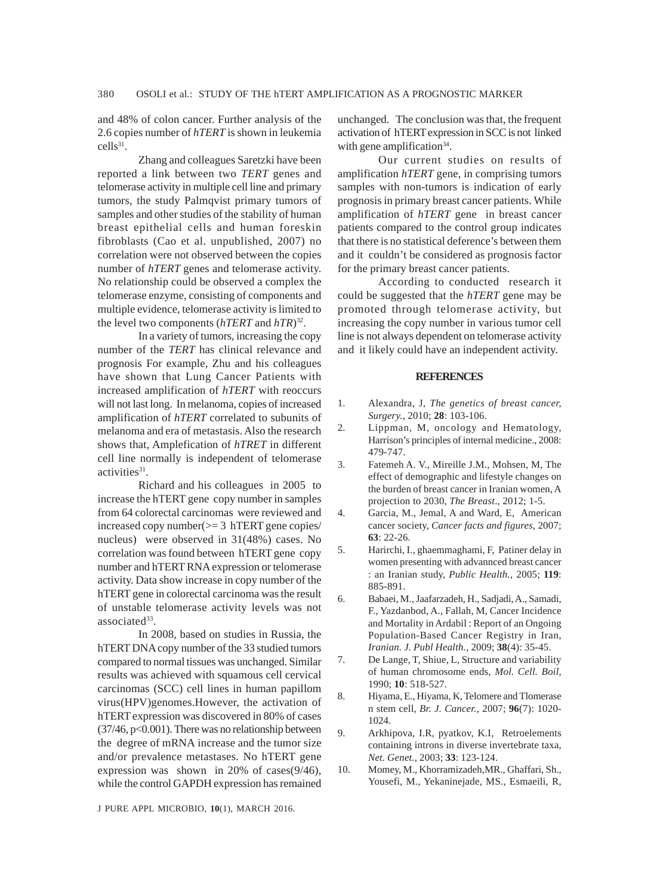and 48% of colon cancer. Further analysis of the 2.6 copies number of *hTERT* is shown in leukemia  $cells^{31}$ .

Zhang and colleagues Saretzki have been reported a link between two *TERT* genes and telomerase activity in multiple cell line and primary tumors, the study Palmqvist primary tumors of samples and other studies of the stability of human breast epithelial cells and human foreskin fibroblasts (Cao et al. unpublished, 2007) no correlation were not observed between the copies number of *hTERT* genes and telomerase activity. No relationship could be observed a complex the telomerase enzyme, consisting of components and multiple evidence, telomerase activity is limited to the level two components (*hTERT* and *hTR*) 32.

In a variety of tumors, increasing the copy number of the *TERT* has clinical relevance and prognosis For example, Zhu and his colleagues have shown that Lung Cancer Patients with increased amplification of *hTERT* with reoccurs will not last long. In melanoma, copies of increased amplification of *hTERT* correlated to subunits of melanoma and era of metastasis. Also the research shows that, Amplefication of *hTRET* in different cell line normally is independent of telomerase activities<sup>31</sup>.

Richard and his colleagues in 2005 to increase the hTERT gene copy number in samples from 64 colorectal carcinomas were reviewed and increased copy number(>= 3 hTERT gene copies/ nucleus) were observed in 31(48%) cases. No correlation was found between hTERT gene copy number and hTERT RNA expression or telomerase activity. Data show increase in copy number of the hTERT gene in colorectal carcinoma was the result of unstable telomerase activity levels was not associated $33$ .

In 2008, based on studies in Russia, the hTERT DNA copy number of the 33 studied tumors compared to normal tissues was unchanged. Similar results was achieved with squamous cell cervical carcinomas (SCC) cell lines in human papillom virus(HPV)genomes.However, the activation of hTERT expression was discovered in 80% of cases  $(37/46, p<0.001)$ . There was no relationship between the degree of mRNA increase and the tumor size and/or prevalence metastases. No hTERT gene expression was shown in 20% of cases(9/46), while the control GAPDH expression has remained

J PURE APPL MICROBIO*,* **10**(1), MARCH 2016.

unchanged. The conclusion was that, the frequent activation of hTERT expression in SCC is not linked with gene amplification<sup>34</sup>.

Our current studies on results of amplification *hTERT* gene, in comprising tumors samples with non-tumors is indication of early prognosis in primary breast cancer patients. While amplification of *hTERT* gene in breast cancer patients compared to the control group indicates that there is no statistical deference's between them and it couldn't be considered as prognosis factor for the primary breast cancer patients.

According to conducted research it could be suggested that the *hTERT* gene may be promoted through telomerase activity, but increasing the copy number in various tumor cell line is not always dependent on telomerase activity and it likely could have an independent activity.

#### **REFERENCES**

- 1. Alexandra, J, *The genetics of breast cancer, Surgery.,* 2010; **28**: 103-106.
- 2. Lippman, M, oncology and Hematology, Harrison's principles of internal medicine., 2008: 479-747.
- 3. Fatemeh A. V., Mireille J.M., Mohsen, M, The effect of demographic and lifestyle changes on the burden of breast cancer in Iranian women, A projection to 2030, *The Breast*., 2012; 1-5.
- 4. Garcia, M., Jemal, A and Ward, E, American cancer society, *Cancer facts and figures*, 2007; **63**: 22-26.
- 5. Harirchi, I., ghaemmaghami, F, Patiner delay in women presenting with advannced breast cancer : an Iranian study, *Public Health.,* 2005; **119**: 885-891.
- 6. Babaei, M., Jaafarzadeh, H., Sadjadi, A., Samadi, F., Yazdanbod, A., Fallah, M, Cancer Incidence and Mortality in Ardabil : Report of an Ongoing Population-Based Cancer Registry in Iran, *Iranian. J. Publ Health.,* 2009; **38**(4): 35-45.
- 7. De Lange, T, Shiue, L, Structure and variability of human chromosome ends, *Mol. Cell. Boil,* 1990; **10**: 518-527.
- 8. Hiyama, E., Hiyama, K, Telomere and Tlomerase n stem cell, *Br. J. Cancer.,* 2007; **96**(7): 1020- 1024.
- 9. Arkhipova, I.R, pyatkov, K.I, Retroelements containing introns in diverse invertebrate taxa, *Net. Genet.,* 2003; **33**: 123-124.
- 10. Momey, M., Khorramizadeh,MR., Ghaffari, Sh., Yousefi, M., Yekaninejade, MS., Esmaeili, R,